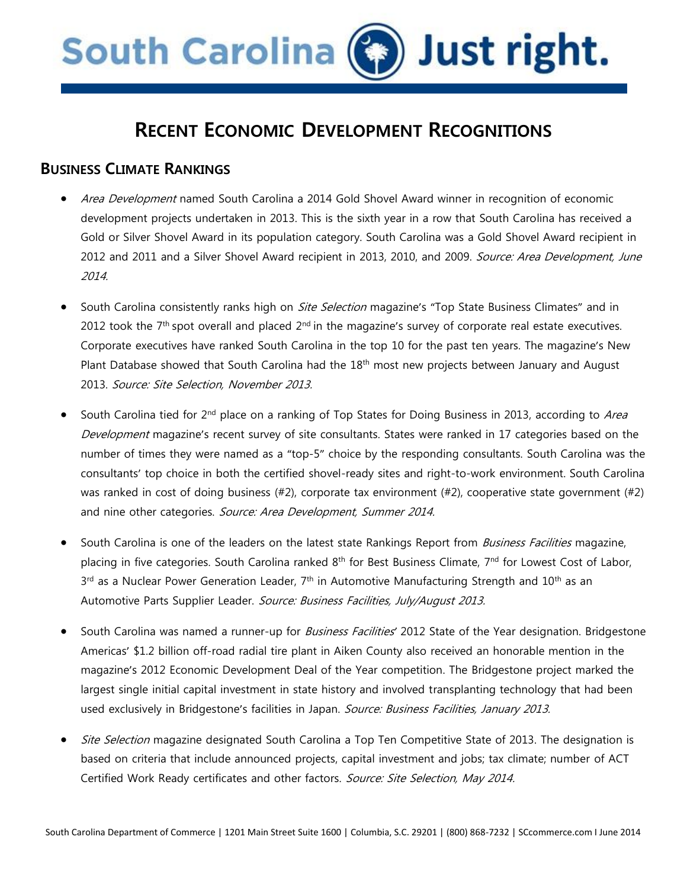# South Carolina (3) Just right.

## **RECENT ECONOMIC DEVELOPMENT RECOGNITIONS**

#### **BUSINESS CLIMATE RANKINGS**

- Area Development named South Carolina a 2014 Gold Shovel Award winner in recognition of economic development projects undertaken in 2013. This is the sixth year in a row that South Carolina has received a Gold or Silver Shovel Award in its population category. South Carolina was a Gold Shovel Award recipient in 2012 and 2011 and a Silver Shovel Award recipient in 2013, 2010, and 2009. Source: Area Development, June 2014.
- South Carolina consistently ranks high on *Site Selection* magazine's "Top State Business Climates" and in 2012 took the 7<sup>th</sup> spot overall and placed 2<sup>nd</sup> in the magazine's survey of corporate real estate executives. Corporate executives have ranked South Carolina in the top 10 for the past ten years. The magazine's New Plant Database showed that South Carolina had the 18<sup>th</sup> most new projects between January and August 2013. Source: Site Selection, November 2013.
- South Carolina tied for 2<sup>nd</sup> place on a ranking of Top States for Doing Business in 2013, according to Area Development magazine's recent survey of site consultants. States were ranked in 17 categories based on the number of times they were named as a "top-5" choice by the responding consultants. South Carolina was the consultants' top choice in both the certified shovel-ready sites and right-to-work environment. South Carolina was ranked in cost of doing business (#2), corporate tax environment (#2), cooperative state government (#2) and nine other categories. Source: Area Development, Summer 2014.
- South Carolina is one of the leaders on the latest state Rankings Report from *Business Facilities* magazine, placing in five categories. South Carolina ranked 8<sup>th</sup> for Best Business Climate, 7<sup>nd</sup> for Lowest Cost of Labor,  $3^{rd}$  as a Nuclear Power Generation Leader,  $7^{th}$  in Automotive Manufacturing Strength and  $10^{th}$  as an Automotive Parts Supplier Leader. Source: Business Facilities, July/August 2013.
- South Carolina was named a runner-up for Business Facilities*'* 2012 State of the Year designation. Bridgestone Americas' \$1.2 billion off-road radial tire plant in Aiken County also received an honorable mention in the magazine's 2012 Economic Development Deal of the Year competition. The Bridgestone project marked the largest single initial capital investment in state history and involved transplanting technology that had been used exclusively in Bridgestone's facilities in Japan. Source: Business Facilities, January 2013.
- Site Selection magazine designated South Carolina a Top Ten Competitive State of 2013. The designation is based on criteria that include announced projects, capital investment and jobs; tax climate; number of ACT Certified Work Ready certificates and other factors. Source: Site Selection, May 2014.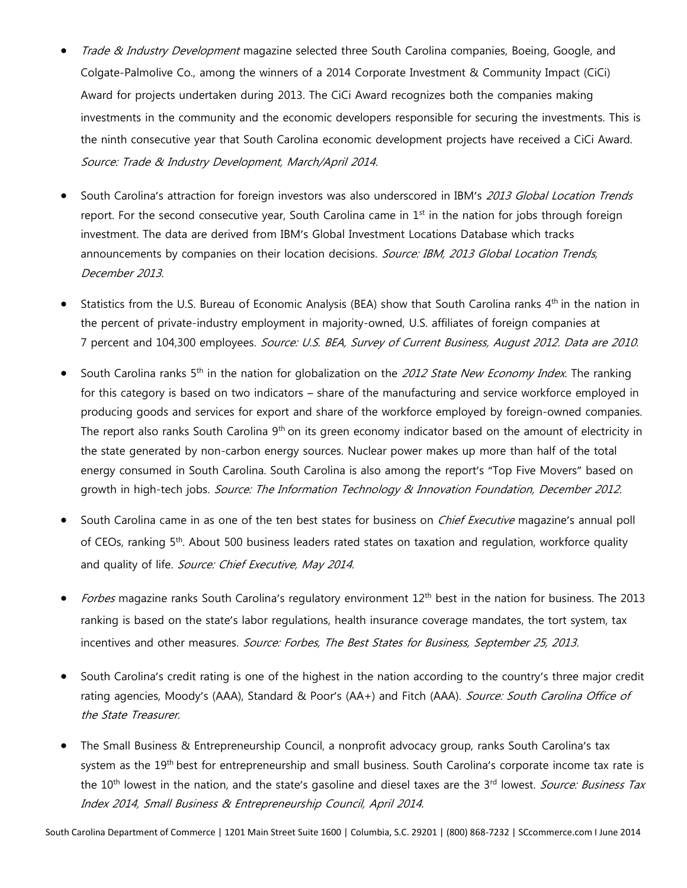- Trade & Industry Development magazine selected three South Carolina companies, Boeing, Google, and Colgate-Palmolive Co., among the winners of a 2014 Corporate Investment & Community Impact (CiCi) Award for projects undertaken during 2013. The CiCi Award recognizes both the companies making investments in the community and the economic developers responsible for securing the investments. This is the ninth consecutive year that South Carolina economic development projects have received a CiCi Award. Source: Trade & Industry Development, March/April 2014.
- South Carolina's attraction for foreign investors was also underscored in IBM's 2013 Global Location Trends report. For the second consecutive year, South Carolina came in  $1<sup>st</sup>$  in the nation for jobs through foreign investment. The data are derived from IBM's Global Investment Locations Database which tracks announcements by companies on their location decisions. Source: IBM, 2013 Global Location Trends, December 2013.
- Statistics from the U.S. Bureau of Economic Analysis (BEA) show that South Carolina ranks 4<sup>th</sup> in the nation in the percent of private-industry employment in majority-owned, U.S. affiliates of foreign companies at 7 percent and 104,300 employees. Source: U.S. BEA, Survey of Current Business, August 2012. Data are 2010.
- South Carolina ranks 5<sup>th</sup> in the nation for globalization on the 2012 State New Economy Index. The ranking for this category is based on two indicators – share of the manufacturing and service workforce employed in producing goods and services for export and share of the workforce employed by foreign-owned companies. The report also ranks South Carolina 9<sup>th</sup> on its green economy indicator based on the amount of electricity in the state generated by non-carbon energy sources. Nuclear power makes up more than half of the total energy consumed in South Carolina. South Carolina is also among the report's "Top Five Movers" based on growth in high-tech jobs. Source: The Information Technology & Innovation Foundation, December 2012.
- South Carolina came in as one of the ten best states for business on *Chief Executive* magazine's annual poll of CEOs, ranking 5<sup>th</sup>. About 500 business leaders rated states on taxation and regulation, workforce quality and quality of life. Source: Chief Executive, May 2014.
- Forbes magazine ranks South Carolina's regulatory environment 12<sup>th</sup> best in the nation for business. The 2013 ranking is based on the state's labor regulations, health insurance coverage mandates, the tort system, tax incentives and other measures. Source: Forbes, The Best States for Business, September 25, 2013.
- South Carolina's credit rating is one of the highest in the nation according to the country's three major credit rating agencies, Moody's (AAA), Standard & Poor's (AA+) and Fitch (AAA). Source: South Carolina Office of the State Treasurer.
- The Small Business & Entrepreneurship Council, a nonprofit advocacy group, ranks South Carolina's tax system as the 19<sup>th</sup> best for entrepreneurship and small business. South Carolina's corporate income tax rate is the 10<sup>th</sup> lowest in the nation, and the state's gasoline and diesel taxes are the 3<sup>rd</sup> lowest. *Source: Business Tax* Index 2014, Small Business & Entrepreneurship Council, April 2014.

South Carolina Department of Commerce | 1201 Main Street Suite 1600 | Columbia, S.C. 29201 | (800) 868-7232 | SCcommerce.com I June 2014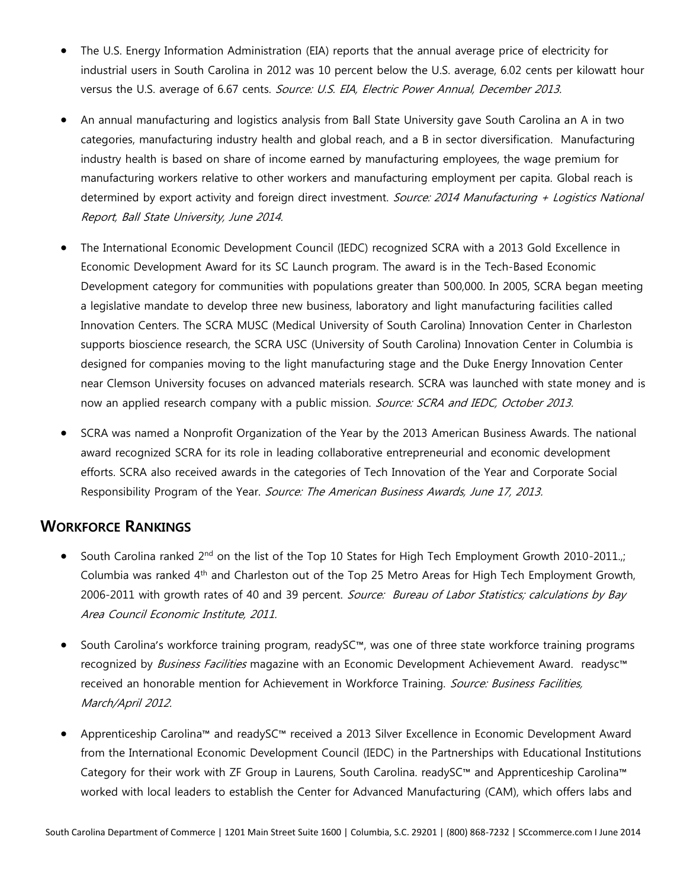- The U.S. Energy Information Administration (EIA) reports that the annual average price of electricity for industrial users in South Carolina in 2012 was 10 percent below the U.S. average, 6.02 cents per kilowatt hour versus the U.S. average of 6.67 cents. Source: U.S. EIA, Electric Power Annual, December 2013.
- An annual manufacturing and logistics analysis from Ball State University gave South Carolina an A in two categories, manufacturing industry health and global reach, and a B in sector diversification. Manufacturing industry health is based on share of income earned by manufacturing employees, the wage premium for manufacturing workers relative to other workers and manufacturing employment per capita. Global reach is determined by export activity and foreign direct investment. Source: 2014 Manufacturing + Logistics National Report, Ball State University, June 2014.
- The International Economic Development Council (IEDC) recognized SCRA with a 2013 Gold Excellence in Economic Development Award for its SC Launch program. The award is in the Tech-Based Economic Development category for communities with populations greater than 500,000. In 2005, SCRA began meeting a legislative mandate to develop three new business, laboratory and light manufacturing facilities called Innovation Centers. The SCRA MUSC (Medical University of South Carolina) Innovation Center in Charleston supports bioscience research, the SCRA USC (University of South Carolina) Innovation Center in Columbia is designed for companies moving to the light manufacturing stage and the Duke Energy Innovation Center near Clemson University focuses on advanced materials research. SCRA was launched with state money and is now an applied research company with a public mission. Source: SCRA and IEDC, October 2013.
- SCRA was named a Nonprofit Organization of the Year by the 2013 American Business Awards. The national award recognized SCRA for its role in leading collaborative entrepreneurial and economic development efforts. SCRA also received awards in the categories of Tech Innovation of the Year and Corporate Social Responsibility Program of the Year. Source: The American Business Awards, June 17, 2013.

#### **WORKFORCE RANKINGS**

- South Carolina ranked 2<sup>nd</sup> on the list of the Top 10 States for High Tech Employment Growth 2010-2011.; Columbia was ranked 4th and Charleston out of the Top 25 Metro Areas for High Tech Employment Growth, 2006-2011 with growth rates of 40 and 39 percent. Source: Bureau of Labor Statistics; calculations by Bay Area Council Economic Institute, 2011.
- South Carolina's workforce training program, readySC™, was one of three state workforce training programs recognized by Business Facilities magazine with an Economic Development Achievement Award. readysc™ received an honorable mention for Achievement in Workforce Training. Source: Business Facilities, March/April 2012.
- Apprenticeship Carolina™ and readySC™ received a 2013 Silver Excellence in Economic Development Award from the International Economic Development Council (IEDC) in the Partnerships with Educational Institutions Category for their work with ZF Group in Laurens, South Carolina. readySC™ and Apprenticeship Carolina™ worked with local leaders to establish the Center for Advanced Manufacturing (CAM), which offers labs and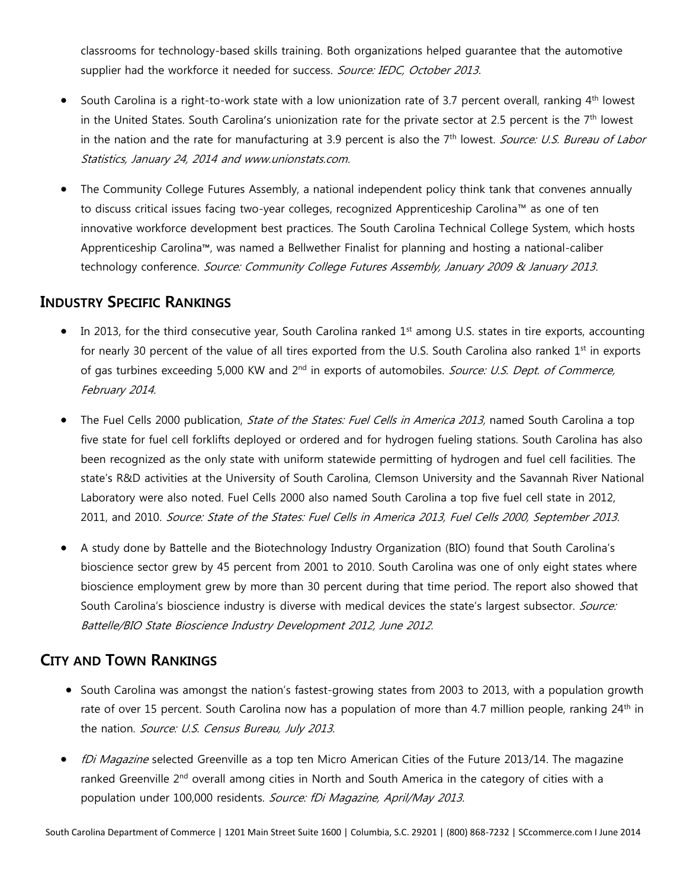classrooms for technology-based skills training. Both organizations helped guarantee that the automotive supplier had the workforce it needed for success. Source: IEDC, October 2013.

- South Carolina is a right-to-work state with a low unionization rate of 3.7 percent overall, ranking 4<sup>th</sup> lowest in the United States. South Carolina's unionization rate for the private sector at 2.5 percent is the 7<sup>th</sup> lowest in the nation and the rate for manufacturing at 3.9 percent is also the 7<sup>th</sup> lowest. Source: U.S. Bureau of Labor Statistics, January 24, 2014 and www.unionstats.com.
- The Community College Futures Assembly, a national independent policy think tank that convenes annually to discuss critical issues facing two-year colleges, recognized Apprenticeship Carolina™ as one of ten innovative workforce development best practices. The South Carolina Technical College System, which hosts Apprenticeship Carolina™, was named a Bellwether Finalist for planning and hosting a national-caliber technology conference. Source: Community College Futures Assembly, January 2009 & January 2013.

#### **INDUSTRY SPECIFIC RANKINGS**

- In 2013, for the third consecutive year, South Carolina ranked 1<sup>st</sup> among U.S. states in tire exports, accounting for nearly 30 percent of the value of all tires exported from the U.S. South Carolina also ranked  $1<sup>st</sup>$  in exports of gas turbines exceeding 5,000 KW and 2<sup>nd</sup> in exports of automobiles. Source: U.S. Dept. of Commerce, February 2014.
- The Fuel Cells 2000 publication, State of the States: Fuel Cells in America 2013, named South Carolina a top five state for fuel cell forklifts deployed or ordered and for hydrogen fueling stations. South Carolina has also been recognized as the only state with uniform statewide permitting of hydrogen and fuel cell facilities. The state's R&D activities at the University of South Carolina, Clemson University and the Savannah River National Laboratory were also noted. Fuel Cells 2000 also named South Carolina a top five fuel cell state in 2012, 2011, and 2010. Source: State of the States: Fuel Cells in America 2013, Fuel Cells 2000, September 2013.
- A study done by Battelle and the Biotechnology Industry Organization (BIO) found that South Carolina's bioscience sector grew by 45 percent from 2001 to 2010. South Carolina was one of only eight states where bioscience employment grew by more than 30 percent during that time period. The report also showed that South Carolina's bioscience industry is diverse with medical devices the state's largest subsector. Source: Battelle/BIO State Bioscience Industry Development 2012, June 2012.

### **CITY AND TOWN RANKINGS**

- South Carolina was amongst the nation's fastest-growing states from 2003 to 2013, with a population growth rate of over 15 percent. South Carolina now has a population of more than 4.7 million people, ranking 24<sup>th</sup> in the nation. Source: U.S. Census Bureau, July 2013.
- fDi Magazine selected Greenville as a top ten Micro American Cities of the Future 2013/14. The magazine ranked Greenville 2<sup>nd</sup> overall among cities in North and South America in the category of cities with a population under 100,000 residents. Source: fDi Magazine, April/May 2013.